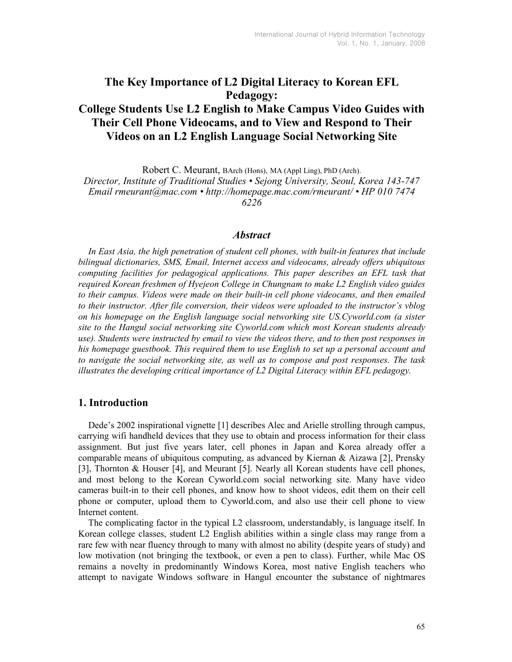# The Key Importance of L2 Digital Literacy to Korean EFL Pedagogy:

## College Students Use L2 English to Make Campus Video Guides with Their Cell Phone Videocams, and to View and Respond to Their Videos on an L2 English Language Social Networking Site

Robert C. Meurant, BArch (Hons), MA (Appl Ling), PhD (Arch).

Director, Institute of Traditional Studies • Sejong University, Seoul, Korea 143-747 Email rmeurant@mac.com • http://homepage.mac.com/rmeurant/ • HP 010 7474 6226

### **Abstract**

In East Asia, the high penetration of student cell phones, with built-in features that include bilingual dictionaries, SMS, Email, Internet access and videocams, already offers ubiquitous computing facilities for pedagogical applications. This paper describes an EFL task that required Korean freshmen of Hyejeon College in Chungnam to make L2 English video guides to their campus. Videos were made on their built-in cell phone videocams, and then emailed to their instructor. After file conversion, their videos were uploaded to the instructor's vblog on his homepage on the English language social networking site US.Cyworld.com (a sister site to the Hangul social networking site Cyworld.com which most Korean students already use). Students were instructed by email to view the videos there, and to then post responses in his homepage guestbook. This required them to use English to set up a personal account and to navigate the social networking site, as well as to compose and post responses. The task illustrates the developing critical importance of L2 Digital Literacy within EFL pedagogy.

## 1. Introduction

Dede's 2002 inspirational vignette [1] describes Alec and Arielle strolling through campus, carrying wifi handheld devices that they use to obtain and process information for their class assignment. But just five years later, cell phones in Japan and Korea already offer a comparable means of ubiquitous computing, as advanced by Kiernan & Aizawa [2], Prensky [3], Thornton & Houser [4], and Meurant [5]. Nearly all Korean students have cell phones, and most belong to the Korean Cyworld.com social networking site. Many have video cameras built-in to their cell phones, and know how to shoot videos, edit them on their cell phone or computer, upload them to Cyworld.com, and also use their cell phone to view Internet content.

The complicating factor in the typical L2 classroom, understandably, is language itself. In Korean college classes, student L2 English abilities within a single class may range from a rare few with near fluency through to many with almost no ability (despite years of study) and low motivation (not bringing the textbook, or even a pen to class). Further, while Mac OS remains a novelty in predominantly Windows Korea, most native English teachers who attempt to navigate Windows software in Hangul encounter the substance of nightmares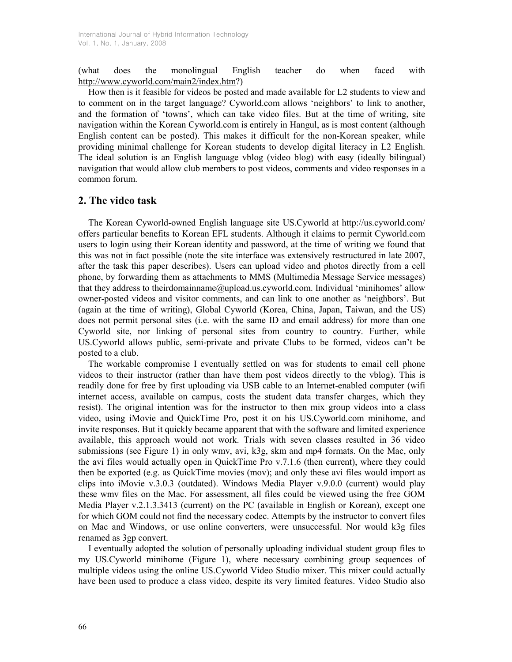(what does the monolingual English teacher do when faced with http://www.cyworld.com/main2/index.htm?)

How then is it feasible for videos be posted and made available for L2 students to view and to comment on in the target language? Cyworld.com allows 'neighbors' to link to another, and the formation of 'towns', which can take video files. But at the time of writing, site navigation within the Korean Cyworld.com is entirely in Hangul, as is most content (although English content can be posted). This makes it difficult for the non-Korean speaker, while providing minimal challenge for Korean students to develop digital literacy in L2 English. The ideal solution is an English language vblog (video blog) with easy (ideally bilingual) navigation that would allow club members to post videos, comments and video responses in a common forum.

## 2. The video task

The Korean Cyworld-owned English language site US.Cyworld at http://us.cyworld.com/ offers particular benefits to Korean EFL students. Although it claims to permit Cyworld.com users to login using their Korean identity and password, at the time of writing we found that this was not in fact possible (note the site interface was extensively restructured in late 2007, after the task this paper describes). Users can upload video and photos directly from a cell phone, by forwarding them as attachments to MMS (Multimedia Message Service messages) that they address to theirdomainname@upload.us.cyworld.com. Individual 'minihomes' allow owner-posted videos and visitor comments, and can link to one another as 'neighbors'. But (again at the time of writing), Global Cyworld (Korea, China, Japan, Taiwan, and the US) does not permit personal sites (i.e. with the same ID and email address) for more than one Cyworld site, nor linking of personal sites from country to country. Further, while US.Cyworld allows public, semi-private and private Clubs to be formed, videos can't be posted to a club.

The workable compromise I eventually settled on was for students to email cell phone videos to their instructor (rather than have them post videos directly to the vblog). This is readily done for free by first uploading via USB cable to an Internet-enabled computer (wifi internet access, available on campus, costs the student data transfer charges, which they resist). The original intention was for the instructor to then mix group videos into a class video, using iMovie and QuickTime Pro, post it on his US.Cyworld.com minihome, and invite responses. But it quickly became apparent that with the software and limited experience available, this approach would not work. Trials with seven classes resulted in 36 video submissions (see Figure 1) in only wmv, avi, k3g, skm and mp4 formats. On the Mac, only the avi files would actually open in QuickTime Pro v.7.1.6 (then current), where they could then be exported (e.g. as QuickTime movies (mov); and only these avi files would import as clips into iMovie v.3.0.3 (outdated). Windows Media Player v.9.0.0 (current) would play these wmv files on the Mac. For assessment, all files could be viewed using the free GOM Media Player v.2.1.3.3413 (current) on the PC (available in English or Korean), except one for which GOM could not find the necessary codec. Attempts by the instructor to convert files on Mac and Windows, or use online converters, were unsuccessful. Nor would k3g files renamed as 3gp convert.

I eventually adopted the solution of personally uploading individual student group files to my US.Cyworld minihome (Figure 1), where necessary combining group sequences of multiple videos using the online US.Cyworld Video Studio mixer. This mixer could actually have been used to produce a class video, despite its very limited features. Video Studio also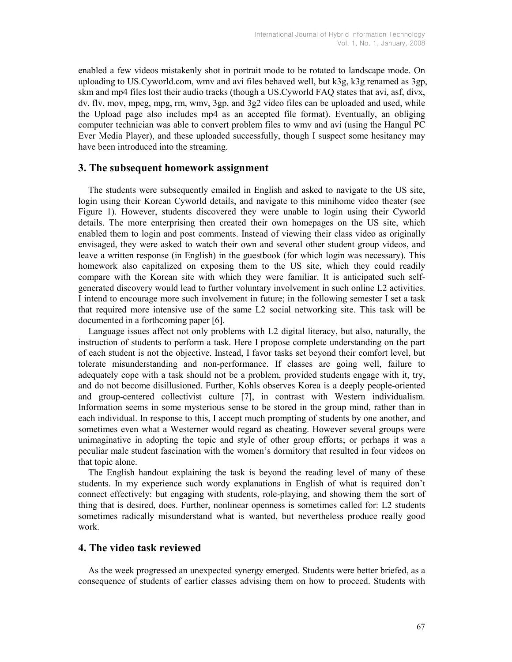enabled a few videos mistakenly shot in portrait mode to be rotated to landscape mode. On uploading to US.Cyworld.com, wmv and avi files behaved well, but k3g, k3g renamed as 3gp, skm and mp4 files lost their audio tracks (though a US.Cyworld FAQ states that avi, asf, divx, dv, flv, mov, mpeg, mpg, rm, wmv, 3gp, and 3g2 video files can be uploaded and used, while the Upload page also includes mp4 as an accepted file format). Eventually, an obliging computer technician was able to convert problem files to wmv and avi (using the Hangul PC Ever Media Player), and these uploaded successfully, though I suspect some hesitancy may have been introduced into the streaming.

### 3. The subsequent homework assignment

The students were subsequently emailed in English and asked to navigate to the US site, login using their Korean Cyworld details, and navigate to this minihome video theater (see Figure 1). However, students discovered they were unable to login using their Cyworld details. The more enterprising then created their own homepages on the US site, which enabled them to login and post comments. Instead of viewing their class video as originally envisaged, they were asked to watch their own and several other student group videos, and leave a written response (in English) in the guestbook (for which login was necessary). This homework also capitalized on exposing them to the US site, which they could readily compare with the Korean site with which they were familiar. It is anticipated such selfgenerated discovery would lead to further voluntary involvement in such online L2 activities. I intend to encourage more such involvement in future; in the following semester I set a task that required more intensive use of the same L2 social networking site. This task will be documented in a forthcoming paper [6].

Language issues affect not only problems with L2 digital literacy, but also, naturally, the instruction of students to perform a task. Here I propose complete understanding on the part of each student is not the objective. Instead, I favor tasks set beyond their comfort level, but tolerate misunderstanding and non-performance. If classes are going well, failure to adequately cope with a task should not be a problem, provided students engage with it, try, and do not become disillusioned. Further, Kohls observes Korea is a deeply people-oriented and group-centered collectivist culture [7], in contrast with Western individualism. Information seems in some mysterious sense to be stored in the group mind, rather than in each individual. In response to this, I accept much prompting of students by one another, and sometimes even what a Westerner would regard as cheating. However several groups were unimaginative in adopting the topic and style of other group efforts; or perhaps it was a peculiar male student fascination with the women's dormitory that resulted in four videos on that topic alone.

The English handout explaining the task is beyond the reading level of many of these students. In my experience such wordy explanations in English of what is required don't connect effectively: but engaging with students, role-playing, and showing them the sort of thing that is desired, does. Further, nonlinear openness is sometimes called for: L2 students sometimes radically misunderstand what is wanted, but nevertheless produce really good work.

## 4. The video task reviewed

As the week progressed an unexpected synergy emerged. Students were better briefed, as a consequence of students of earlier classes advising them on how to proceed. Students with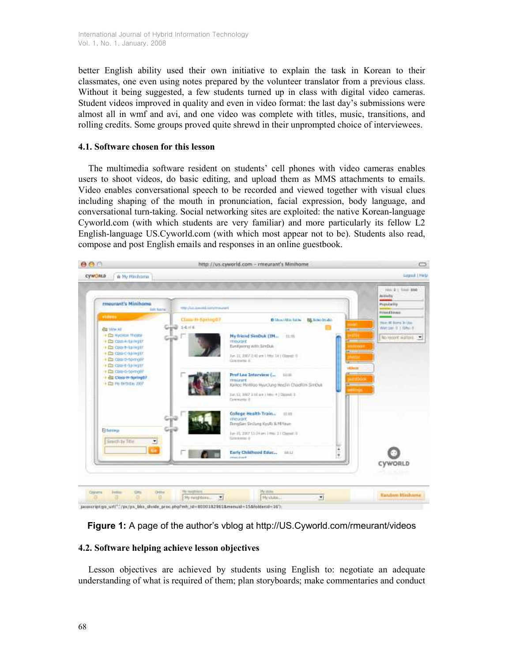better English ability used their own initiative to explain the task in Korean to their classmates, one even using notes prepared by the volunteer translator from a previous class. Without it being suggested, a few students turned up in class with digital video cameras. Student videos improved in quality and even in video format: the last day's submissions were almost all in wmf and avi, and one video was complete with titles, music, transitions, and rolling credits. Some groups proved quite shrewd in their unprompted choice of interviewees.

## 4.1. Software chosen for this lesson

The multimedia software resident on students' cell phones with video cameras enables users to shoot videos, do basic editing, and upload them as MMS attachments to emails. Video enables conversational speech to be recorded and viewed together with visual clues including shaping of the mouth in pronunciation, facial expression, body language, and conversational turn-taking. Social networking sites are exploited: the native Korean-language Cyworld.com (with which students are very familiar) and more particularly its fellow L2 English-language US.Cyworld.com (with which most appear not to be). Students also read, compose and post English emails and responses in an online guestbook.



javaicriptigo\_url(";/px/px\_bbx\_divide\_proc.php?mh\_id=8000182961&menuid=15&folderid=16")

Figure 1: A page of the author's vblog at http://US.Cyworld.com/rmeurant/videos

## 4.2. Software helping achieve lesson objectives

Lesson objectives are achieved by students using English to: negotiate an adequate understanding of what is required of them; plan storyboards; make commentaries and conduct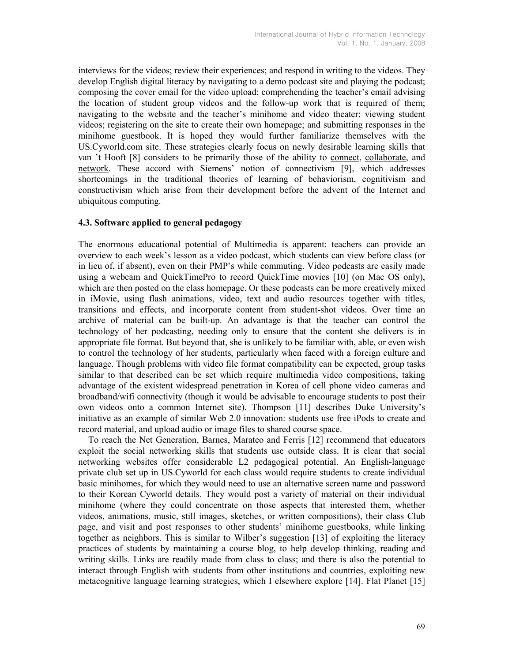interviews for the videos; review their experiences; and respond in writing to the videos. They develop English digital literacy by navigating to a demo podcast site and playing the podcast; composing the cover email for the video upload; comprehending the teacher's email advising the location of student group videos and the follow-up work that is required of them; navigating to the website and the teacher's minihome and video theater; viewing student videos; registering on the site to create their own homepage; and submitting responses in the minihome guestbook. It is hoped they would further familiarize themselves with the US.Cyworld.com site. These strategies clearly focus on newly desirable learning skills that van 't Hooft [8] considers to be primarily those of the ability to connect, collaborate, and network. These accord with Siemens' notion of connectivism [9], which addresses shortcomings in the traditional theories of learning of behaviorism, cognitivism and constructivism which arise from their development before the advent of the Internet and ubiquitous computing.

#### 4.3. Software applied to general pedagogy

The enormous educational potential of Multimedia is apparent: teachers can provide an overview to each week's lesson as a video podcast, which students can view before class (or in lieu of, if absent), even on their PMP's while commuting. Video podcasts are easily made using a webcam and QuickTimePro to record QuickTime movies [10] (on Mac OS only), which are then posted on the class homepage. Or these podcasts can be more creatively mixed in iMovie, using flash animations, video, text and audio resources together with titles, transitions and effects, and incorporate content from student-shot videos. Over time an archive of material can be built-up. An advantage is that the teacher can control the technology of her podcasting, needing only to ensure that the content she delivers is in appropriate file format. But beyond that, she is unlikely to be familiar with, able, or even wish to control the technology of her students, particularly when faced with a foreign culture and language. Though problems with video file format compatibility can be expected, group tasks similar to that described can be set which require multimedia video compositions, taking advantage of the existent widespread penetration in Korea of cell phone video cameras and broadband/wifi connectivity (though it would be advisable to encourage students to post their own videos onto a common Internet site). Thompson [11] describes Duke University's initiative as an example of similar Web 2.0 innovation: students use free iPods to create and record material, and upload audio or image files to shared course space.

To reach the Net Generation, Barnes, Marateo and Ferris [12] recommend that educators exploit the social networking skills that students use outside class. It is clear that social networking websites offer considerable L2 pedagogical potential. An English-language private club set up in US.Cyworld for each class would require students to create individual basic minihomes, for which they would need to use an alternative screen name and password to their Korean Cyworld details. They would post a variety of material on their individual minihome (where they could concentrate on those aspects that interested them, whether videos, animations, music, still images, sketches, or written compositions), their class Club page, and visit and post responses to other students' minihome guestbooks, while linking together as neighbors. This is similar to Wilber's suggestion [13] of exploiting the literacy practices of students by maintaining a course blog, to help develop thinking, reading and writing skills. Links are readily made from class to class; and there is also the potential to interact through English with students from other institutions and countries, exploiting new metacognitive language learning strategies, which I elsewhere explore [14]. Flat Planet [15]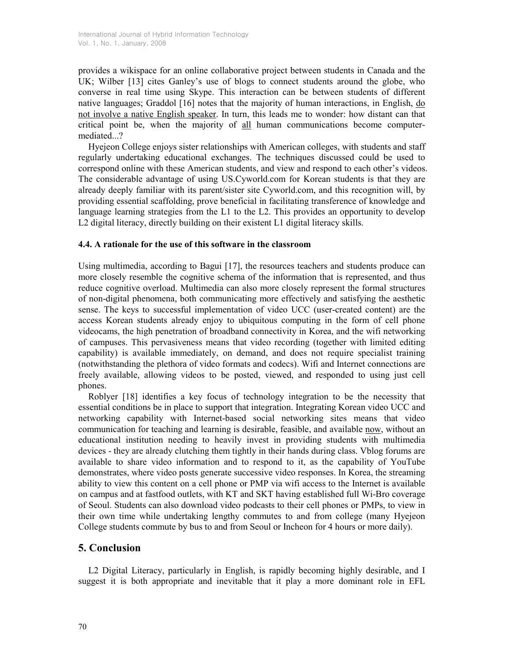provides a wikispace for an online collaborative project between students in Canada and the UK; Wilber [13] cites Ganley's use of blogs to connect students around the globe, who converse in real time using Skype. This interaction can be between students of different native languages; Graddol [16] notes that the majority of human interactions, in English, do not involve a native English speaker. In turn, this leads me to wonder: how distant can that critical point be, when the majority of all human communications become computermediated...?

Hyejeon College enjoys sister relationships with American colleges, with students and staff regularly undertaking educational exchanges. The techniques discussed could be used to correspond online with these American students, and view and respond to each other's videos. The considerable advantage of using US.Cyworld.com for Korean students is that they are already deeply familiar with its parent/sister site Cyworld.com, and this recognition will, by providing essential scaffolding, prove beneficial in facilitating transference of knowledge and language learning strategies from the L1 to the L2. This provides an opportunity to develop L2 digital literacy, directly building on their existent L1 digital literacy skills.

### 4.4. A rationale for the use of this software in the classroom

Using multimedia, according to Bagui [17], the resources teachers and students produce can more closely resemble the cognitive schema of the information that is represented, and thus reduce cognitive overload. Multimedia can also more closely represent the formal structures of non-digital phenomena, both communicating more effectively and satisfying the aesthetic sense. The keys to successful implementation of video UCC (user-created content) are the access Korean students already enjoy to ubiquitous computing in the form of cell phone videocams, the high penetration of broadband connectivity in Korea, and the wifi networking of campuses. This pervasiveness means that video recording (together with limited editing capability) is available immediately, on demand, and does not require specialist training (notwithstanding the plethora of video formats and codecs). Wifi and Internet connections are freely available, allowing videos to be posted, viewed, and responded to using just cell phones.

Roblyer [18] identifies a key focus of technology integration to be the necessity that essential conditions be in place to support that integration. Integrating Korean video UCC and networking capability with Internet-based social networking sites means that video communication for teaching and learning is desirable, feasible, and available now, without an educational institution needing to heavily invest in providing students with multimedia devices - they are already clutching them tightly in their hands during class. Vblog forums are available to share video information and to respond to it, as the capability of YouTube demonstrates, where video posts generate successive video responses. In Korea, the streaming ability to view this content on a cell phone or PMP via wifi access to the Internet is available on campus and at fastfood outlets, with KT and SKT having established full Wi-Bro coverage of Seoul. Students can also download video podcasts to their cell phones or PMPs, to view in their own time while undertaking lengthy commutes to and from college (many Hyejeon College students commute by bus to and from Seoul or Incheon for 4 hours or more daily).

## 5. Conclusion

L2 Digital Literacy, particularly in English, is rapidly becoming highly desirable, and I suggest it is both appropriate and inevitable that it play a more dominant role in EFL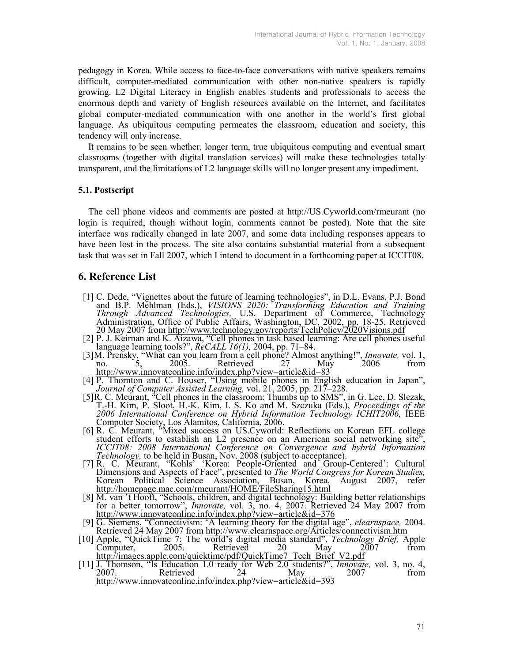pedagogy in Korea. While access to face-to-face conversations with native speakers remains difficult, computer-mediated communication with other non-native speakers is rapidly growing. L2 Digital Literacy in English enables students and professionals to access the enormous depth and variety of English resources available on the Internet, and facilitates global computer-mediated communication with one another in the world's first global language. As ubiquitous computing permeates the classroom, education and society, this tendency will only increase.

It remains to be seen whether, longer term, true ubiquitous computing and eventual smart classrooms (together with digital translation services) will make these technologies totally transparent, and the limitations of L2 language skills will no longer present any impediment.

#### 5.1. Postscript

The cell phone videos and comments are posted at http://US.Cyworld.com/rmeurant (no login is required, though without login, comments cannot be posted). Note that the site interface was radically changed in late 2007, and some data including responses appears to have been lost in the process. The site also contains substantial material from a subsequent task that was set in Fall 2007, which I intend to document in a forthcoming paper at ICCIT08.

## 6. Reference List

- [1] C. Dede, "Vignettes about the future of learning technologies", in D.L. Evans, P.J. Bond and B.P. Mehlman (Eds.), VISIONS 2020: Transforming Education and Training Through Advanced Technologies, U.S. Department of Commerce, Technology Administration, Office of Public Affairs, Washington, DC, 2002, pp. 18-25. Retrieved 20 May 2007 from http://www.technology.gov/reports/TechPolicy/2020Visions.pdf
- [2] P. J. Keirnan and K. Aizawa, "Cell phones in task based learning: Are cell phones useful language learning tools?", ReCALL 16(1), 2004, pp. 71–84.
- [3] M. Prensky, "What can you learn from a cell phone? Almost anything!", *Innovate*, vol. 1, no. 5, 2005. Retrieved 27 May 2006 from http://www.innovateonline.info/index.php?view=article&id=83
- [4] P. Thornton and C. Houser, "Using mobile phones in English education in Japan", Journal of Computer Assisted Learning, vol. 21, 2005, pp. 217–228.
- [5] R. C. Meurant, "Cell phones in the classroom: Thumbs up to SMS", in G. Lee, D. Slezak, T.-H. Kim, P. Sloot, H.-K. Kim, I. S. Ko and M. Szczuka (Eds.), Proceedings of the 2006 International Conference on Hybrid Information Technology ICHIT2006, IEEE Computer Society, Los Alamitos, California, 2006.
- [6] R. C. Meurant, "Mixed success on US.Cyworld: Reflections on Korean EFL college student efforts to establish an L2 presence on an American social networking site", ICCIT08: 2008 International Conference on Convergence and hybrid Information Technology, to be held in Busan, Nov. 2008 (subject to acceptance).
- [7] R. C. Meurant, "Kohls' 'Korea: People-Oriented and Group-Centered': Cultural Dimensions and Aspects of Face", presented to The World Congress for Korean Studies, Korean Political Science Association, Busan, Korea, August 2007, refer http://homepage.mac.com/rmeurant/HOME/FileSharing15.html
- [8] M. van 't Hooft, "Schools, children, and digital technology: Building better relationships for a better tomorrow", *Innovate*, vol. 3, no. 4, 2007. Retrieved 24 May 2007 from http://www.innovateonline.info/index.php?view=article&id=376
- [9] G. Siemens, "Connectivism: 'A learning theory for the digital age", elearnspace, 2004. Retrieved 24 May 2007 from http://www.elearnspace.org/Articles/connectivism.htm
- [10] Apple, "QuickTime 7: The world's digital media standard", Technology Brief, Apple Computer, 2005. Retrieved 20 May 2007 from http://images.apple.com/quicktime/pdf/QuickTime7\_Tech\_Brief\_V2.pdf
- [11] J. Thomson, "Is Education 1.0 ready for Web 2.0 students?", *Innovate*, vol. 3, no. 4, 2007. Retrieved 24 May 2007 from http://www.innovateonline.info/index.php?view=article&id=393